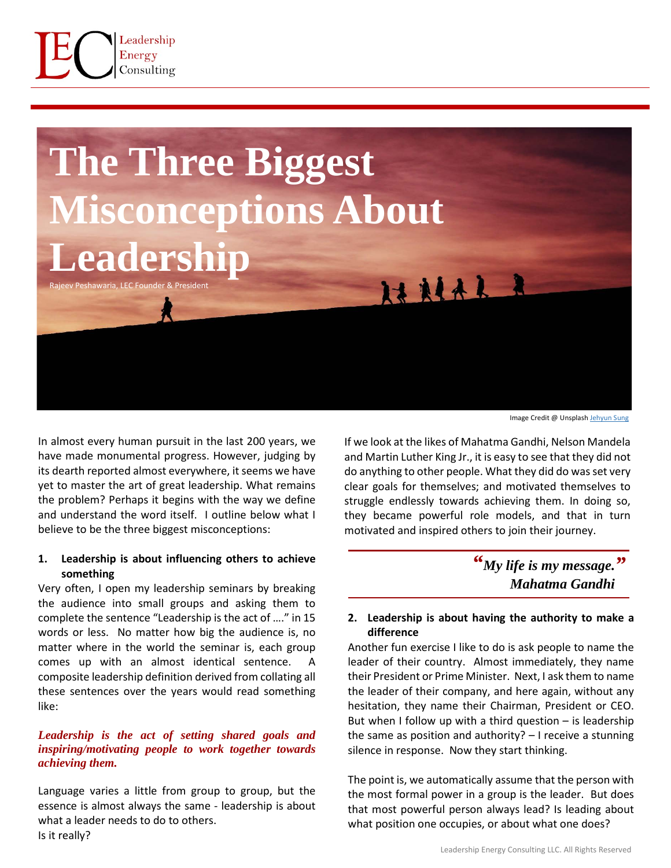



In almost every human pursuit in the last 200 years, we have made monumental progress. However, judging by its dearth reported almost everywhere, it seems we have yet to master the art of great leadership. What remains the problem? Perhaps it begins with the way we define and understand the word itself. I outline below what I believe to be the three biggest misconceptions:

## **1. Leadership is about influencing others to achieve something**

Very often, I open my leadership seminars by breaking the audience into small groups and asking them to complete the sentence "Leadership is the act of …." in 15 words or less. No matter how big the audience is, no matter where in the world the seminar is, each group comes up with an almost identical sentence. composite leadership definition derived from collating all these sentences over the years would read something like:

## *Leadership is the act of setting shared goals and inspiring/motivating people to work together towards achieving them.*

Language varies a little from group to group, but the essence is almost always the same - leadership is about what a leader needs to do to others. Is it really?

Image Credit @ Unsplash [Jehyun Sung](https://unsplash.com/@jaysung?utm_source=unsplash&utm_medium=referral&utm_content=creditCopyText)

If we look at the likes of Mahatma Gandhi, Nelson Mandela and Martin Luther King Jr., it is easy to see that they did not do anything to other people. What they did do was set very clear goals for themselves; and motivated themselves to struggle endlessly towards achieving them. In doing so, they became powerful role models, and that in turn motivated and inspired others to join their journey.

> *"My life is my message. "Mahatma Gandhi*

# **2. Leadership is about having the authority to make a difference**

Another fun exercise I like to do is ask people to name the leader of their country. Almost immediately, they name their President or Prime Minister. Next, I ask them to name the leader of their company, and here again, without any hesitation, they name their Chairman, President or CEO. But when I follow up with a third question  $-$  is leadership the same as position and authority? – I receive a stunning silence in response. Now they start thinking.

The point is, we automatically assume that the person with the most formal power in a group is the leader. But does that most powerful person always lead? Is leading about what position one occupies, or about what one does?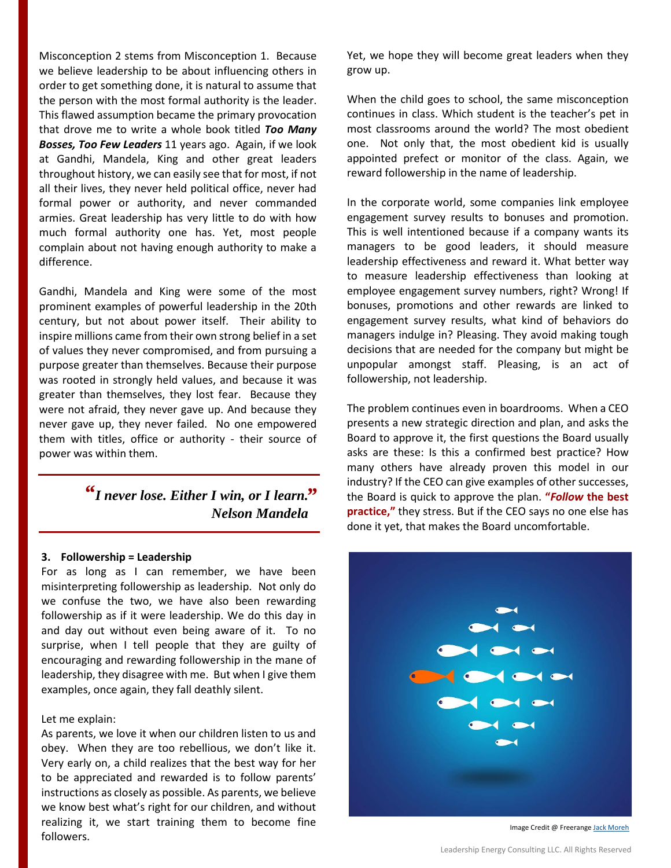Misconception 2 stems from Misconception 1. Because we believe leadership to be about influencing others in order to get something done, it is natural to assume that the person with the most formal authority is the leader. This flawed assumption became the primary provocation that drove me to write a whole book titled *Too Many Bosses, Too Few Leaders* 11 years ago. Again, if we look at Gandhi, Mandela, King and other great leaders throughout history, we can easily see that for most, if not all their lives, they never held political office, never had formal power or authority, and never commanded armies. Great leadership has very little to do with how much formal authority one has. Yet, most people complain about not having enough authority to make a difference.

Gandhi, Mandela and King were some of the most prominent examples of powerful leadership in the 20th century, but not about power itself. Their ability to inspire millions came from their own strong belief in a set of values they never compromised, and from pursuing a purpose greater than themselves. Because their purpose was rooted in strongly held values, and because it was greater than themselves, they lost fear. Because they were not afraid, they never gave up. And because they never gave up, they never failed. No one empowered them with titles, office or authority - their source of power was within them.

> *"I never lose. Either I win, or I learn. "Nelson Mandela*

#### **3. Followership = Leadership**

For as long as I can remember, we have been misinterpreting followership as leadership. Not only do we confuse the two, we have also been rewarding followership as if it were leadership. We do this day in and day out without even being aware of it. To no surprise, when I tell people that they are guilty of encouraging and rewarding followership in the mane of leadership, they disagree with me. But when I give them examples, once again, they fall deathly silent.

### Let me explain:

As parents, we love it when our children listen to us and obey. When they are too rebellious, we don't like it. Very early on, a child realizes that the best way for her to be appreciated and rewarded is to follow parents' instructions as closely as possible. As parents, we believe we know best what's right for our children, and without realizing it, we start training them to become fine followers.

Yet, we hope they will become great leaders when they grow up.

When the child goes to school, the same misconception continues in class. Which student is the teacher's pet in most classrooms around the world? The most obedient one. Not only that, the most obedient kid is usually appointed prefect or monitor of the class. Again, we reward followership in the name of leadership.

In the corporate world, some companies link employee engagement survey results to bonuses and promotion. This is well intentioned because if a company wants its managers to be good leaders, it should measure leadership effectiveness and reward it. What better way to measure leadership effectiveness than looking at employee engagement survey numbers, right? Wrong! If bonuses, promotions and other rewards are linked to engagement survey results, what kind of behaviors do managers indulge in? Pleasing. They avoid making tough decisions that are needed for the company but might be unpopular amongst staff. Pleasing, is an act of followership, not leadership.

The problem continues even in boardrooms. When a CEO presents a new strategic direction and plan, and asks the Board to approve it, the first questions the Board usually asks are these: Is this a confirmed best practice? How many others have already proven this model in our industry? If the CEO can give examples of other successes, the Board is quick to approve the plan. **"***Follow* **the best practice,"** they stress. But if the CEO says no one else has done it yet, that makes the Board uncomfortable.



Image Credit @ Freerange Jack [Moreh](https://freerangestock.com/photos/61091/follow-the-leader--leadership-concept-.html)